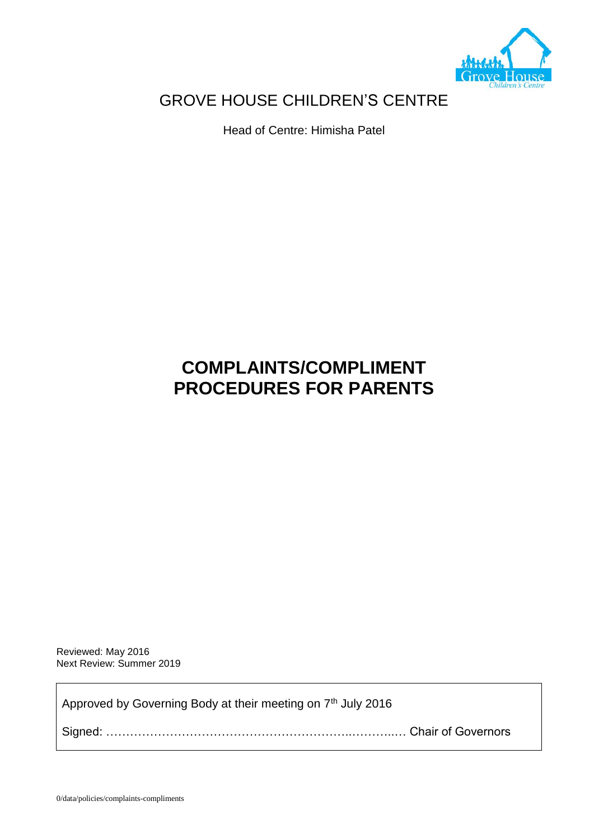

# GROVE HOUSE CHILDREN'S CENTRE

Head of Centre: Himisha Patel

# **COMPLAINTS/COMPLIMENT PROCEDURES FOR PARENTS**

Reviewed: May 2016 Next Review: Summer 2019

Approved by Governing Body at their meeting on 7<sup>th</sup> July 2016

Signed: ……………………………………………………..………..… Chair of Governors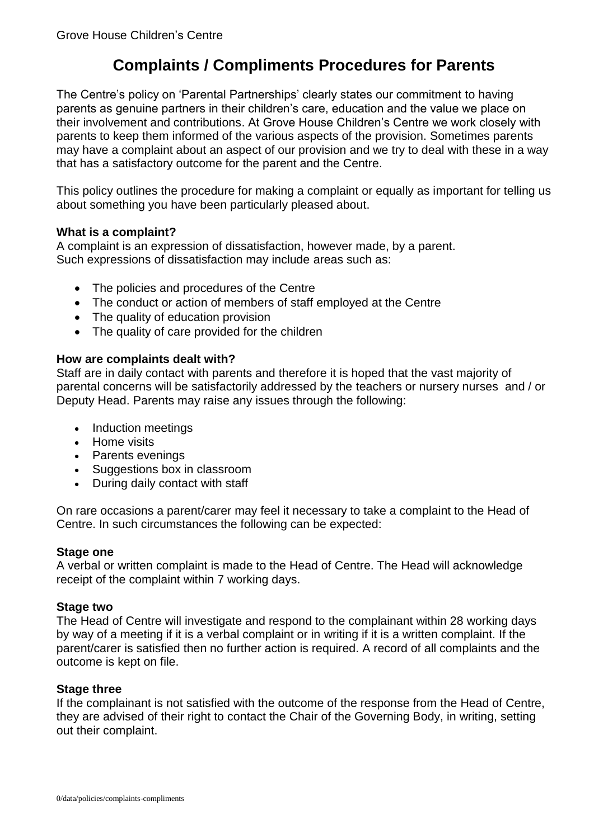# **Complaints / Compliments Procedures for Parents**

The Centre's policy on 'Parental Partnerships' clearly states our commitment to having parents as genuine partners in their children's care, education and the value we place on their involvement and contributions. At Grove House Children's Centre we work closely with parents to keep them informed of the various aspects of the provision. Sometimes parents may have a complaint about an aspect of our provision and we try to deal with these in a way that has a satisfactory outcome for the parent and the Centre.

This policy outlines the procedure for making a complaint or equally as important for telling us about something you have been particularly pleased about.

# **What is a complaint?**

A complaint is an expression of dissatisfaction, however made, by a parent. Such expressions of dissatisfaction may include areas such as:

- The policies and procedures of the Centre
- The conduct or action of members of staff employed at the Centre
- The quality of education provision
- The quality of care provided for the children

# **How are complaints dealt with?**

Staff are in daily contact with parents and therefore it is hoped that the vast majority of parental concerns will be satisfactorily addressed by the teachers or nursery nurses and / or Deputy Head. Parents may raise any issues through the following:

- Induction meetings
- Home visits
- Parents evenings
- Suggestions box in classroom
- During daily contact with staff

On rare occasions a parent/carer may feel it necessary to take a complaint to the Head of Centre. In such circumstances the following can be expected:

# **Stage one**

A verbal or written complaint is made to the Head of Centre. The Head will acknowledge receipt of the complaint within 7 working days.

# **Stage two**

The Head of Centre will investigate and respond to the complainant within 28 working days by way of a meeting if it is a verbal complaint or in writing if it is a written complaint. If the parent/carer is satisfied then no further action is required. A record of all complaints and the outcome is kept on file.

# **Stage three**

If the complainant is not satisfied with the outcome of the response from the Head of Centre, they are advised of their right to contact the Chair of the Governing Body, in writing, setting out their complaint.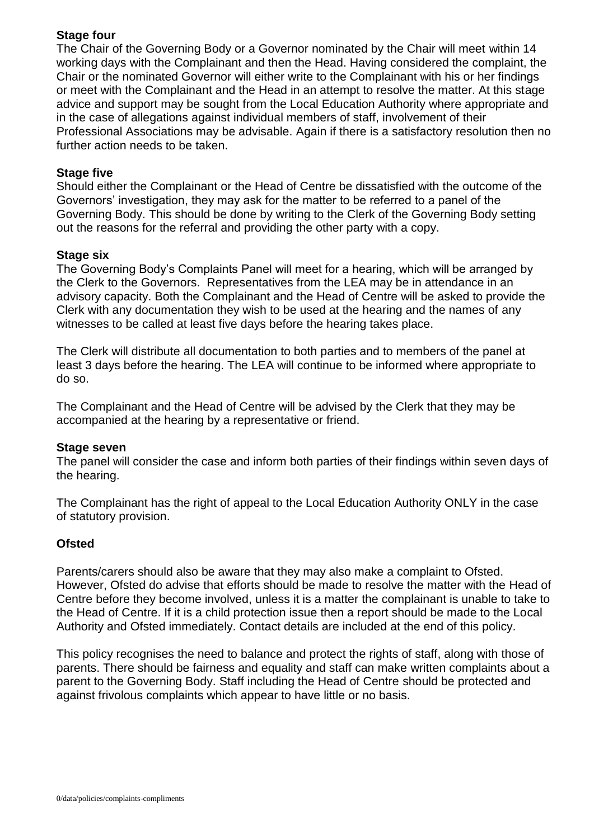# **Stage four**

The Chair of the Governing Body or a Governor nominated by the Chair will meet within 14 working days with the Complainant and then the Head. Having considered the complaint, the Chair or the nominated Governor will either write to the Complainant with his or her findings or meet with the Complainant and the Head in an attempt to resolve the matter. At this stage advice and support may be sought from the Local Education Authority where appropriate and in the case of allegations against individual members of staff, involvement of their Professional Associations may be advisable. Again if there is a satisfactory resolution then no further action needs to be taken.

# **Stage five**

Should either the Complainant or the Head of Centre be dissatisfied with the outcome of the Governors' investigation, they may ask for the matter to be referred to a panel of the Governing Body. This should be done by writing to the Clerk of the Governing Body setting out the reasons for the referral and providing the other party with a copy.

# **Stage six**

The Governing Body's Complaints Panel will meet for a hearing, which will be arranged by the Clerk to the Governors. Representatives from the LEA may be in attendance in an advisory capacity. Both the Complainant and the Head of Centre will be asked to provide the Clerk with any documentation they wish to be used at the hearing and the names of any witnesses to be called at least five days before the hearing takes place.

The Clerk will distribute all documentation to both parties and to members of the panel at least 3 days before the hearing. The LEA will continue to be informed where appropriate to do so.

The Complainant and the Head of Centre will be advised by the Clerk that they may be accompanied at the hearing by a representative or friend.

# **Stage seven**

The panel will consider the case and inform both parties of their findings within seven days of the hearing.

The Complainant has the right of appeal to the Local Education Authority ONLY in the case of statutory provision.

# **Ofsted**

Parents/carers should also be aware that they may also make a complaint to Ofsted. However, Ofsted do advise that efforts should be made to resolve the matter with the Head of Centre before they become involved, unless it is a matter the complainant is unable to take to the Head of Centre. If it is a child protection issue then a report should be made to the Local Authority and Ofsted immediately. Contact details are included at the end of this policy.

This policy recognises the need to balance and protect the rights of staff, along with those of parents. There should be fairness and equality and staff can make written complaints about a parent to the Governing Body. Staff including the Head of Centre should be protected and against frivolous complaints which appear to have little or no basis.